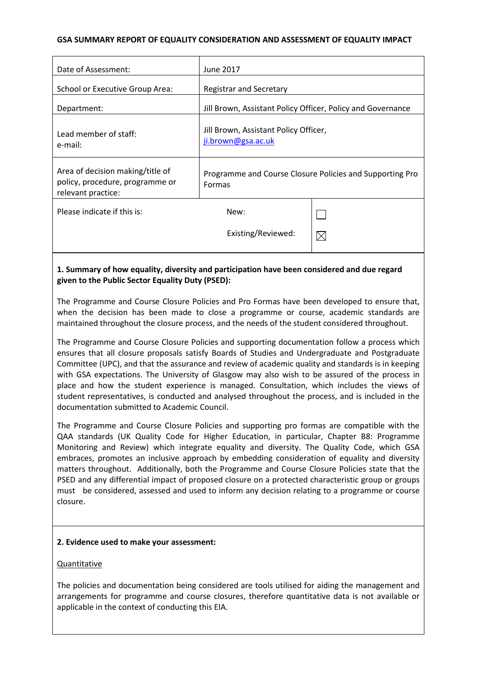# **GSA SUMMARY REPORT OF EQUALITY CONSIDERATION AND ASSESSMENT OF EQUALITY IMPACT**

| Date of Assessment:                                                                       | June 2017                                                          |             |
|-------------------------------------------------------------------------------------------|--------------------------------------------------------------------|-------------|
| School or Executive Group Area:                                                           | <b>Registrar and Secretary</b>                                     |             |
| Department:                                                                               | Jill Brown, Assistant Policy Officer, Policy and Governance        |             |
| Lead member of staff:<br>e-mail:                                                          | Jill Brown, Assistant Policy Officer,<br>ji.brown@gsa.ac.uk        |             |
| Area of decision making/title of<br>policy, procedure, programme or<br>relevant practice: | Programme and Course Closure Policies and Supporting Pro<br>Formas |             |
| Please indicate if this is:                                                               | New:                                                               |             |
|                                                                                           | Existing/Reviewed:                                                 | $\boxtimes$ |
|                                                                                           |                                                                    |             |

# **1. Summary of how equality, diversity and participation have been considered and due regard given to the Public Sector Equality Duty (PSED):**

The Programme and Course Closure Policies and Pro Formas have been developed to ensure that, when the decision has been made to close a programme or course, academic standards are maintained throughout the closure process, and the needs of the student considered throughout.

The Programme and Course Closure Policies and supporting documentation follow a process which ensures that all closure proposals satisfy Boards of Studies and Undergraduate and Postgraduate Committee (UPC), and that the assurance and review of academic quality and standards is in keeping with GSA expectations. The University of Glasgow may also wish to be assured of the process in place and how the student experience is managed. Consultation, which includes the views of student representatives, is conducted and analysed throughout the process, and is included in the documentation submitted to Academic Council.

The Programme and Course Closure Policies and supporting pro formas are compatible with the QAA standards (UK Quality Code for Higher Education, in particular, Chapter B8: Programme Monitoring and Review) which integrate equality and diversity. The Quality Code, which GSA embraces, promotes an inclusive approach by embedding consideration of equality and diversity matters throughout. Additionally, both the Programme and Course Closure Policies state that the PSED and any differential impact of proposed closure on a protected characteristic group or groups must be considered, assessed and used to inform any decision relating to a programme or course closure.

# **2. Evidence used to make your assessment:**

# Quantitative

The policies and documentation being considered are tools utilised for aiding the management and arrangements for programme and course closures, therefore quantitative data is not available or applicable in the context of conducting this EIA.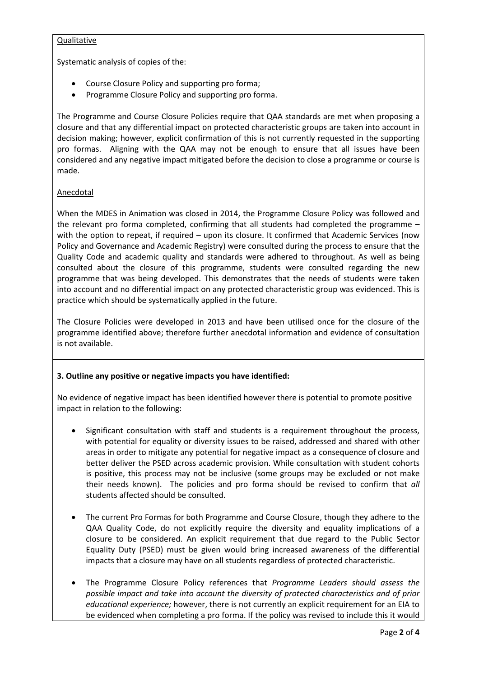# **Qualitative**

Systematic analysis of copies of the:

- Course Closure Policy and supporting pro forma;
- Programme Closure Policy and supporting pro forma.

The Programme and Course Closure Policies require that QAA standards are met when proposing a closure and that any differential impact on protected characteristic groups are taken into account in decision making; however, explicit confirmation of this is not currently requested in the supporting pro formas. Aligning with the QAA may not be enough to ensure that all issues have been considered and any negative impact mitigated before the decision to close a programme or course is made.

# Anecdotal

When the MDES in Animation was closed in 2014, the Programme Closure Policy was followed and the relevant pro forma completed, confirming that all students had completed the programme – with the option to repeat, if required – upon its closure. It confirmed that Academic Services (now Policy and Governance and Academic Registry) were consulted during the process to ensure that the Quality Code and academic quality and standards were adhered to throughout. As well as being consulted about the closure of this programme, students were consulted regarding the new programme that was being developed. This demonstrates that the needs of students were taken into account and no differential impact on any protected characteristic group was evidenced. This is practice which should be systematically applied in the future.

The Closure Policies were developed in 2013 and have been utilised once for the closure of the programme identified above; therefore further anecdotal information and evidence of consultation is not available.

# **3. Outline any positive or negative impacts you have identified:**

No evidence of negative impact has been identified however there is potential to promote positive impact in relation to the following:

- Significant consultation with staff and students is a requirement throughout the process, with potential for equality or diversity issues to be raised, addressed and shared with other areas in order to mitigate any potential for negative impact as a consequence of closure and better deliver the PSED across academic provision. While consultation with student cohorts is positive, this process may not be inclusive (some groups may be excluded or not make their needs known). The policies and pro forma should be revised to confirm that *all* students affected should be consulted.
- The current Pro Formas for both Programme and Course Closure, though they adhere to the QAA Quality Code, do not explicitly require the diversity and equality implications of a closure to be considered. An explicit requirement that due regard to the Public Sector Equality Duty (PSED) must be given would bring increased awareness of the differential impacts that a closure may have on all students regardless of protected characteristic.
- The Programme Closure Policy references that *Programme Leaders should assess the possible impact and take into account the diversity of protected characteristics and of prior educational experience;* however, there is not currently an explicit requirement for an EIA to be evidenced when completing a pro forma. If the policy was revised to include this it would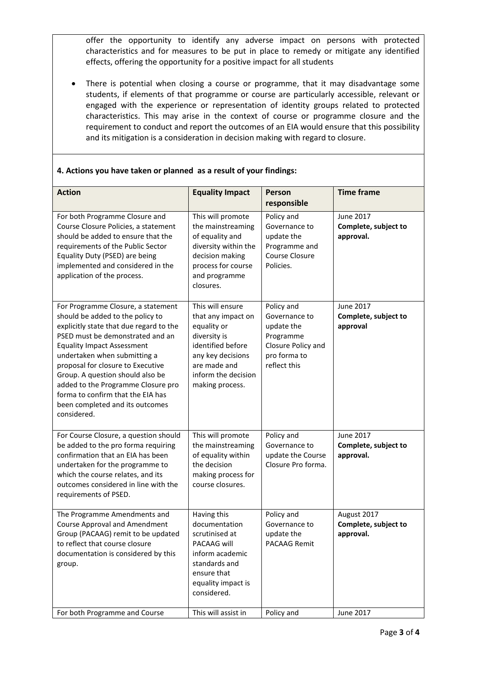offer the opportunity to identify any adverse impact on persons with protected characteristics and for measures to be put in place to remedy or mitigate any identified effects, offering the opportunity for a positive impact for all students

There is potential when closing a course or programme, that it may disadvantage some students, if elements of that programme or course are particularly accessible, relevant or engaged with the experience or representation of identity groups related to protected characteristics. This may arise in the context of course or programme closure and the requirement to conduct and report the outcomes of an EIA would ensure that this possibility and its mitigation is a consideration in decision making with regard to closure.

| <b>Action</b>                                                                                                                                                                                                                                                                                                                                                                                                                    | <b>Equality Impact</b>                                                                                                                                                    | Person                                                                                                       | <b>Time frame</b>                                     |
|----------------------------------------------------------------------------------------------------------------------------------------------------------------------------------------------------------------------------------------------------------------------------------------------------------------------------------------------------------------------------------------------------------------------------------|---------------------------------------------------------------------------------------------------------------------------------------------------------------------------|--------------------------------------------------------------------------------------------------------------|-------------------------------------------------------|
|                                                                                                                                                                                                                                                                                                                                                                                                                                  |                                                                                                                                                                           | responsible                                                                                                  |                                                       |
| For both Programme Closure and<br>Course Closure Policies, a statement<br>should be added to ensure that the<br>requirements of the Public Sector<br>Equality Duty (PSED) are being<br>implemented and considered in the<br>application of the process.                                                                                                                                                                          | This will promote<br>the mainstreaming<br>of equality and<br>diversity within the<br>decision making<br>process for course<br>and programme<br>closures.                  | Policy and<br>Governance to<br>update the<br>Programme and<br>Course Closure<br>Policies.                    | <b>June 2017</b><br>Complete, subject to<br>approval. |
| For Programme Closure, a statement<br>should be added to the policy to<br>explicitly state that due regard to the<br>PSED must be demonstrated and an<br><b>Equality Impact Assessment</b><br>undertaken when submitting a<br>proposal for closure to Executive<br>Group. A question should also be<br>added to the Programme Closure pro<br>forma to confirm that the EIA has<br>been completed and its outcomes<br>considered. | This will ensure<br>that any impact on<br>equality or<br>diversity is<br>identified before<br>any key decisions<br>are made and<br>inform the decision<br>making process. | Policy and<br>Governance to<br>update the<br>Programme<br>Closure Policy and<br>pro forma to<br>reflect this | <b>June 2017</b><br>Complete, subject to<br>approval  |
| For Course Closure, a question should<br>be added to the pro forma requiring<br>confirmation that an EIA has been<br>undertaken for the programme to<br>which the course relates, and its<br>outcomes considered in line with the<br>requirements of PSED.                                                                                                                                                                       | This will promote<br>the mainstreaming<br>of equality within<br>the decision<br>making process for<br>course closures.                                                    | Policy and<br>Governance to<br>update the Course<br>Closure Pro forma.                                       | June 2017<br>Complete, subject to<br>approval.        |
| The Programme Amendments and<br><b>Course Approval and Amendment</b><br>Group (PACAAG) remit to be updated<br>to reflect that course closure<br>documentation is considered by this<br>group.                                                                                                                                                                                                                                    | Having this<br>documentation<br>scrutinised at<br>PACAAG will<br>inform academic<br>standards and<br>ensure that<br>equality impact is<br>considered.                     | Policy and<br>Governance to<br>update the<br>PACAAG Remit                                                    | August 2017<br>Complete, subject to<br>approval.      |
| For both Programme and Course                                                                                                                                                                                                                                                                                                                                                                                                    | This will assist in                                                                                                                                                       | Policy and                                                                                                   | <b>June 2017</b>                                      |

# **4. Actions you have taken or planned as a result of your findings:**